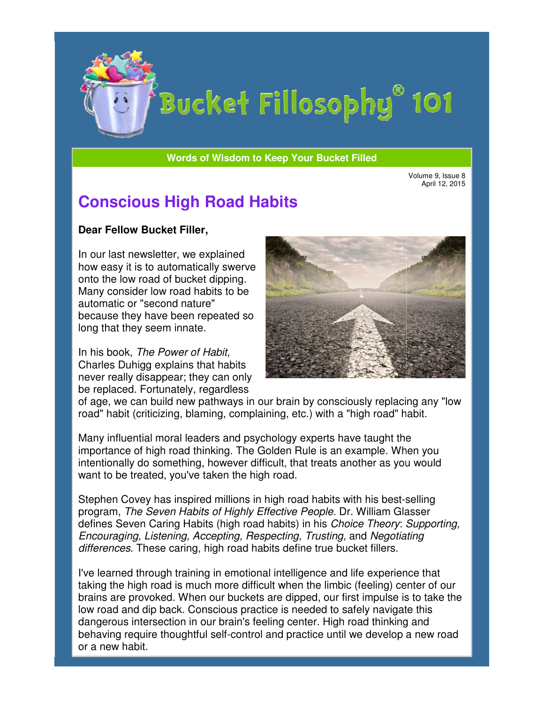

# Bucket Fillosophy<sup>®</sup> 101

**Words of Wisdom to Keep Your Bucket Filled Wisdom** 

Volume 9, Issue 8 April 12, 2015

## **Conscious High Road Habits**

#### **Dear Fellow Bucket Filler Filler,**

In our last newsletter, we explained how easy it is to automatically swerve onto the low road of bucket dipping. Many consider low road habits to be automatic or "second nature" because they have been repeated so long that they seem innate.

In his book, The Power of Habit, Charles Duhigg explains that habits never really disappear; they can only be replaced. Fortunately, regardless automatic or "second nature"<br>because they have been repeated sc<br>long that they seem innate.<br>In his book, *The Power of Habit,*<br>Charles Duhigg explains that habits<br>never really disappear; they can only<br>be replaced. Fortunat



of age, we can build new pathways in our brain by consciously replacing any "low of age, we can build new pathways in our brain by consciously replacing ar<br>road" habit (criticizing, blaming, complaining, etc.) with a "high road" habit.

Many influential moral leaders and psychology experts have taught the importance of high road thinking. The Golden Rule is an example. When you intentionally do something, however difficult, that treats another as you would want to be treated, you've taken the high road. Many influential moral leaders and psychology experts have taught the<br>importance of high road thinking. The Golden Rule is an example. When you<br>intentionally do something, however difficult, that treats another as you woul

program, The Seven Habits of Highly Effective People. Dr. William Glasser defines Seven Caring Habits (high road habits) in his Choice Theory: Supporting, Encouraging, Listening, Accepting, Respecting, Trusting, and Negotiating Negotiating differences. These caring, high road habits define true bucket fillers.

I've learned through training in emotional intelligence and life experience that taking the high road is much more difficult when the limbic (feeling) center of our brains are provoked. When our buckets are dipped, our first impulse is to take the low road and dip back. Conscious practice is needed to safely navigate this dangerous intersection in our brain's feeling center. High road thinking and dangerous intersection in our brain's feeling center. High road thinking and<br>behaving require thoughtful self-control and practice until we develop a new road or a new habit. ng in emotional intelligence and life experience that<br>ch more difficult when the limbic (feeling) center of  $\alpha$ <br>n our buckets are dipped, our first impulse is to take<br>inscious practice is needed to safely navigate this<br>ou